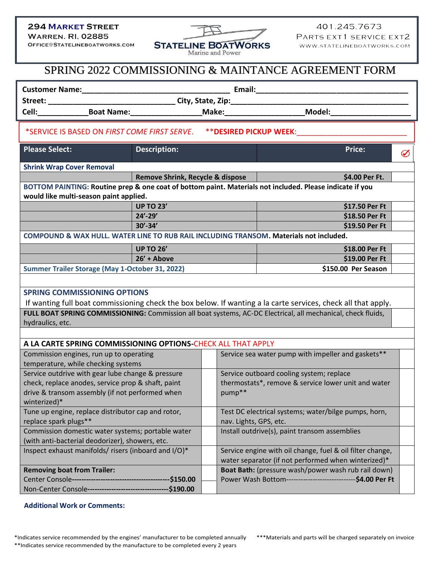## **294 MARKET STREET**

**WARREN. RI, 02885** OFFICE@STATELINEBOATWORKS.COM



401.245.7673 PARTS EXT1 SERVICE EXT2 WWW.STATELINEBOATWORKS.COM

## SPRING 2022 COMMISSIONING & MAINTANCE AGREEMENT FORM

|                                                                                                                                                    |                                                               |  |                                                                                                                  | <b>Email:</b>                                                                                                 |   |
|----------------------------------------------------------------------------------------------------------------------------------------------------|---------------------------------------------------------------|--|------------------------------------------------------------------------------------------------------------------|---------------------------------------------------------------------------------------------------------------|---|
|                                                                                                                                                    |                                                               |  |                                                                                                                  |                                                                                                               |   |
|                                                                                                                                                    |                                                               |  |                                                                                                                  | Cell:________________Boat Name:_______________________Make:_____________________________Model:_______________ |   |
| *SERVICE IS BASED ON FIRST COME FIRST SERVE.<br><b>** DESIRED PICKUP WEEK:</b>                                                                     |                                                               |  |                                                                                                                  |                                                                                                               |   |
| <b>Please Select:</b>                                                                                                                              | <b>Description:</b>                                           |  |                                                                                                                  | Price:                                                                                                        | Ø |
| <b>Shrink Wrap Cover Removal</b>                                                                                                                   |                                                               |  |                                                                                                                  |                                                                                                               |   |
|                                                                                                                                                    | Remove Shrink, Recycle & dispose                              |  |                                                                                                                  | \$4.00 Per Ft.                                                                                                |   |
| BOTTOM PAINTING: Routine prep & one coat of bottom paint. Materials not included. Please indicate if you<br>would like multi-season paint applied. |                                                               |  |                                                                                                                  |                                                                                                               |   |
|                                                                                                                                                    | <b>UP TO 23'</b>                                              |  |                                                                                                                  | \$17.50 Per Ft                                                                                                |   |
|                                                                                                                                                    | $24' - 29'$                                                   |  |                                                                                                                  | \$18.50 Per Ft                                                                                                |   |
|                                                                                                                                                    | $30' - 34'$                                                   |  |                                                                                                                  | \$19.50 Per Ft                                                                                                |   |
| COMPOUND & WAX HULL. WATER LINE TO RUB RAIL INCLUDING TRANSOM. Materials not included.                                                             |                                                               |  |                                                                                                                  |                                                                                                               |   |
|                                                                                                                                                    | <b>UP TO 26'</b>                                              |  |                                                                                                                  | \$18.00 Per Ft                                                                                                |   |
|                                                                                                                                                    | $26' + Above$                                                 |  |                                                                                                                  | \$19.00 Per Ft                                                                                                |   |
| Summer Trailer Storage (May 1-October 31, 2022)                                                                                                    |                                                               |  |                                                                                                                  | \$150.00 Per Season                                                                                           |   |
|                                                                                                                                                    |                                                               |  |                                                                                                                  |                                                                                                               |   |
| <b>SPRING COMMISSIONING OPTIONS</b>                                                                                                                |                                                               |  |                                                                                                                  |                                                                                                               |   |
| If wanting full boat commissioning check the box below. If wanting a la carte services, check all that apply.                                      |                                                               |  |                                                                                                                  |                                                                                                               |   |
| FULL BOAT SPRING COMMISSIONING: Commission all boat systems, AC-DC Electrical, all mechanical, check fluids,<br>hydraulics, etc.                   |                                                               |  |                                                                                                                  |                                                                                                               |   |
|                                                                                                                                                    |                                                               |  |                                                                                                                  |                                                                                                               |   |
| A LA CARTE SPRING COMMISSIONING OPTIONS-CHECK ALL THAT APPLY                                                                                       |                                                               |  |                                                                                                                  |                                                                                                               |   |
| Commission engines, run up to operating                                                                                                            |                                                               |  | Service sea water pump with impeller and gaskets**                                                               |                                                                                                               |   |
| temperature, while checking systems                                                                                                                |                                                               |  |                                                                                                                  |                                                                                                               |   |
| Service outdrive with gear lube change & pressure                                                                                                  |                                                               |  | Service outboard cooling system; replace                                                                         |                                                                                                               |   |
| check, replace anodes, service prop & shaft, paint                                                                                                 |                                                               |  | thermostats*, remove & service lower unit and water                                                              |                                                                                                               |   |
| drive & transom assembly (if not performed when                                                                                                    |                                                               |  | pump**                                                                                                           |                                                                                                               |   |
| winterized)*                                                                                                                                       |                                                               |  |                                                                                                                  |                                                                                                               |   |
| Tune up engine, replace distributor cap and rotor,<br>replace spark plugs**                                                                        |                                                               |  | Test DC electrical systems; water/bilge pumps, horn,<br>nav. Lights, GPS, etc.                                   |                                                                                                               |   |
| Commission domestic water systems; portable water                                                                                                  |                                                               |  | Install outdrive(s), paint transom assemblies                                                                    |                                                                                                               |   |
| (with anti-bacterial deodorizer), showers, etc.                                                                                                    |                                                               |  |                                                                                                                  |                                                                                                               |   |
| Inspect exhaust manifolds/ risers (inboard and I/O)*                                                                                               |                                                               |  | Service engine with oil change, fuel & oil filter change,<br>water separator (if not performed when winterized)* |                                                                                                               |   |
| <b>Removing boat from Trailer:</b>                                                                                                                 |                                                               |  | Boat Bath: (pressure wash/power wash rub rail down)                                                              |                                                                                                               |   |
|                                                                                                                                                    |                                                               |  |                                                                                                                  | Power Wash Bottom-------------------------------\$4.00 Per Ft                                                 |   |
|                                                                                                                                                    | Non-Center Console-----------------------------------\$190.00 |  |                                                                                                                  |                                                                                                               |   |

## **Additional Work or Comments:**

\*Indicates service recommended by the engines' manufacturer to be completed annually \*\*\*Materials and parts will be charged separately on invoice